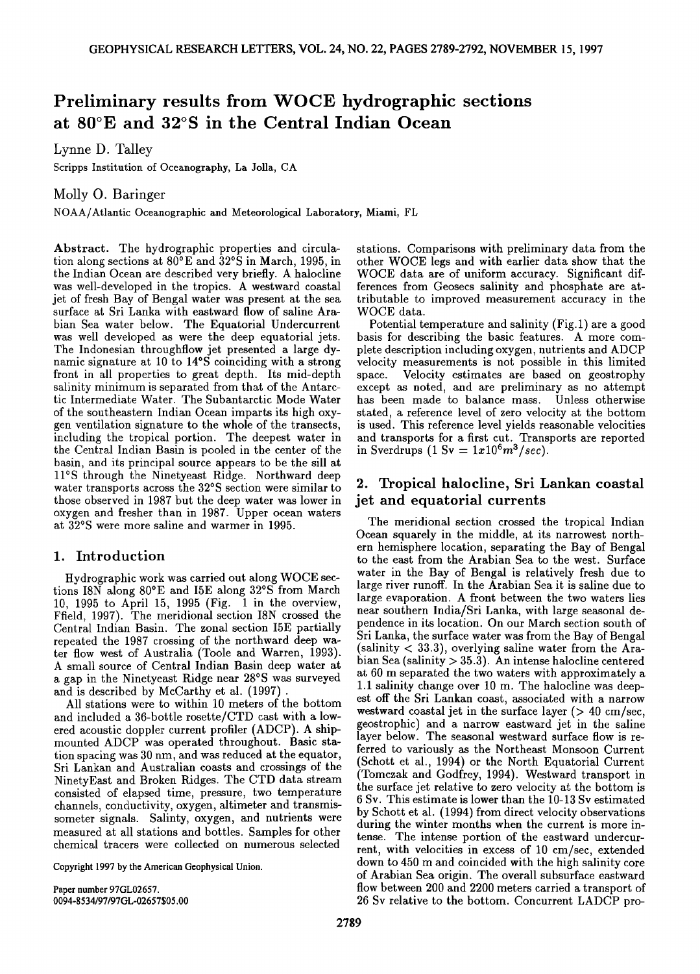# **Preliminary results from WOCE hydrographic sections at 80øE and 32øS in the Central Indian Ocean**

**Lynne D. Talley** 

**Scripps Institution of Oceanography, La Jolla, CA** 

**Molly O. Baringer** 

**NOAA/Atlantic Oceanographic and Meteorological Laboratory, Miami, FL** 

**Abstract. The hydrographic properties and circulation along sections at 80øE and 32øS in March, 1995, in the Indian Ocean are described very briefly. A halocline was well-developed in the tropics. A westward coastal jet of fresh Bay of Bengal water was present at the sea surface at Sri Lanka with eastward flow of saline Arabian Sea water below. The Equatorial Undercurrent was well developed as were the deep equatorial jets. The Indonesian throughflow jet presented a large dynamic signature at 10 to 14øS coinciding with a strong front in all properties to great depth. Its mid-depth salinity minimum is separated from that of the Antarctic Intermediate Water. The Subantarctic Mode Water of the southeastern Indian Ocean imparts its high oxygen ventilation signature to the whole of the transects, including the tropical portion. The deepest water in the Central Indian Basin is pooled in the center of the basin, and its principal source appears to be the sill at 11øS through the Ninetyeast Ridge. Northward deep water transports across the 32øS section were similar to those observed in 1987 but the deep water was lower in oxygen and freshet than in 1987. Upper ocean waters at 32øS were more saline and warmer in 1995.** 

### **1. Introduction**

**Hydrographic work was carried out along WOCE sections I8N along 80øE and I5E along 32øS from March 10, 1995 to April 15, 1995 (Fig. 1 in the overview, Ffield, 1997). The meridional section I8N crossed the Central Indian Basin. The zonal section I5E partially repeated the 1987 crossing of the northward deep water flow west of Australia (Toole and Warren, 1993). A small source of Central Indian Basin deep water at a gap in the Ninetyeast Ridge near 28øS was surveyed**  and is described by McCarthy et al. (1997).

**All stations were to within 10 meters of the bottom and included a 36-bottle rosette/CTD cast with a lowered acoustic doppler current profiler (ADCP). A shipmounted ADCP was operated throughout. Basic station spacing was 30 nm, and was reduced at the equator, Sri Lankan and Australian coasts and crossings of the NinetyEast and Broken Ridges. The CTD data stream consisted of elapsed time, pressure, two temperature channels, conductivity, oxygen, altimeter and transmissometer signals. Salinty, oxygen, and nutrients were measured at all stations and bottles. Samples for other chemical tracers were collected on numerous selected** 

**Copyright 1997 by the American Geophysical Union.** 

**Paper number 97GL02657. 0094-8534/97/97GL-02657505.00**  **stations. Comparisons with preliminary data from the other WOCE legs and with earlier data show that the WOCE data are of uniform accuracy. Significant differences from Geosecs salinity and phosphate are attributable to improved measurement accuracy in the WOCE data.** 

**Potential temperature and salinity (Fig.l) are a good basis for describing the basic features. A more complete description including oxygen, nutrients and ADCP velocity measurements is not possible in this limited space. Velocity estimates are based on geostrophy except as noted, and are preliminary as no attempt has been made to balance mass. Unless otherwise stated, a reference level of zero velocity at the bottom is used. This reference level yields reasonable velocities and transports for a first cut. Transports are reported**  in Sverdrups  $(1 \text{ Sv} = 1x10^6m^3/sec)$ .

## **2. Tropical halocline, Sri Lankan coastal jet and equatorial currents**

**The meridional section crossed the tropical Indian Ocean squarely in the middle, at its narrowest northern hemisphere location, separating the Bay of Bengal to the east from the Arabian Sea to the west. Surface water in the Bay of Bengal is relatively fresh due to large river runoff. In the Arabian Sea it is saline due to large evaporation. A front between the two waters lies near southern India/Sri Lanka, with large seasonal dependence in its location. On our March section south of Sri Lanka, the surface water was from the Bay of Bengal (salinity < 33.3), overlying saline water from the Arabian Sea (salinity > 35.3). An intense halocline centered at 60 m separated the two waters with approximately a 1.1 salinity change over 10 m. The halocline was deepest off the Sri Lankan coast, associated with a narrow westward coastal jet in the surface layer (> 40 cm/sec, •,•uatrophic) and a narrow eastward jet in the saline layer below. The seasonal westward surface flow is referred to variously as the Northeast Monsoon Current (Schott et al., 1994) or the North Equatorial Current (Tomczak and Godfrey, 1994). Westward transport in the surface jet relative to zero velocity at the bottom is 6 Sv. This estimate is lower than the 10-13 Sv estimated by Schott et al. (1994) from direct velocity observations during the winter months when the current is more intense. The intense portion of the eastward undercurrent, with velocities in excess of 10 cm/sec, extended down to 450 m and coincided with the high salinity core of Arabian Sea origin. The overall subsurface eastward flow between 200 and 2200 meters carried a transport of 26 Sv relative to the bottom. Concurrent LADCP pro-**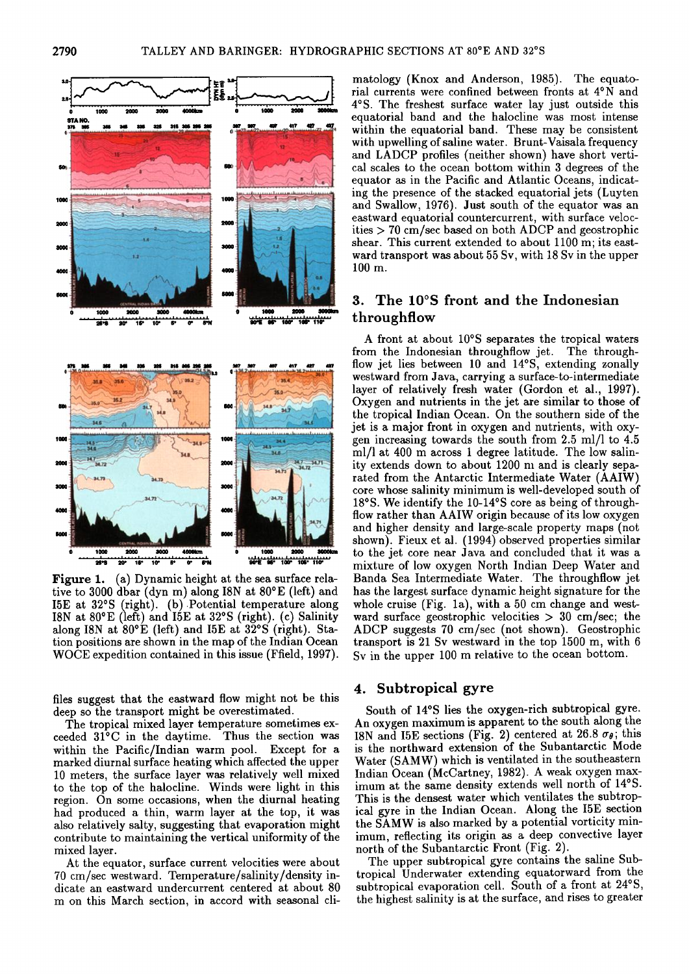

1000<br>سياسا بيليو Figure 1. (a) Dynamic height at the sea surface rela-

tive to 3000 dbar (dyn m) along I8N at 80°E (left) and I5E at 32°S (right). (b) Potential temperature along I8N at 80°E (left) and I5E at 32°S (right). (c) Salinity along I8N at 80°E (left) and I5E at 32°S (right). Station positions are shown in the map of the Indian Ocean WOCE expedition contained in this issue (Ffield, 1997).

files suggest that the eastward flow might not be this deep so the transport might be overestimated.

The tropical mixed layer temperature sometimes exceeded 31°C in the daytime. Thus the section was within the Pacific/Indian warm pool. Except for a marked diurnal surface heating which affected the upper 10 meters, the surface layer was relatively well mixed to the top of the halocline. Winds were light in this region. On some occasions, when the diurnal heating had produced a thin, warm layer at the top, it was also relatively salty, suggesting that evaporation might contribute to maintaining the vertical uniformity of the mixed layer.

At the equator, surface current velocities were about 70 cm/sec westward. Temperature/salinity/density indicate an eastward undercurrent centered at about 80 m on this March section, in accord with seasonal climatology (Knox and Anderson, 1985). The equatorial currents were confined between fronts at 4°N and 4°S. The freshest surface water lay just outside this equatorial band and the halocline was most intense within the equatorial band. These may be consistent with upwelling of saline water. Brunt-Vaisala frequency and LADCP profiles (neither shown) have short vertical scales to the ocean bottom within 3 degrees of the equator as in the Pacific and Atlantic Oceans, indicating the presence of the stacked equatorial jets (Luyten and Swallow, 1976). Just south of the equator was an eastward equatorial countercurrent, with surface velocities  $> 70$  cm/sec based on both ADCP and geostrophic shear. This current extended to about 1100 m; its eastward transport was about 55 Sv, with 18 Sv in the upper  $100$  m.

# 3. The 10°S front and the Indonesian throughflow

A front at about 10°S separates the tropical waters from the Indonesian throughflow jet. The throughflow jet lies between 10 and 14°S, extending zonally westward from Java, carrying a surface-to-intermediate layer of relatively fresh water (Gordon et al., 1997). Oxygen and nutrients in the jet are similar to those of the tropical Indian Ocean. On the southern side of the jet is a major front in oxygen and nutrients, with oxygen increasing towards the south from 2.5 ml/l to 4.5 ml/l at 400 m across 1 degree latitude. The low salinity extends down to about 1200 m and is clearly separated from the Antarctic Intermediate Water (AAIW) core whose salinity minimum is well-developed south of 18°S. We identify the 10-14°S core as being of throughflow rather than AAIW origin because of its low oxygen and higher density and large-scale property maps (not shown). Fieux et al. (1994) observed properties similar to the jet core near Java and concluded that it was a mixture of low oxygen North Indian Deep Water and Banda Sea Intermediate Water. The throughflow jet has the largest surface dynamic height signature for the whole cruise (Fig. 1a), with a 50 cm change and westward surface geostrophic velocities  $> 30$  cm/sec; the ADCP suggests 70 cm/sec (not shown). Geostrophic transport is 21 Sv westward in the top 1500 m, with 6 Sy in the upper 100 m relative to the ocean bottom.

#### 4. Subtropical gyre

South of 14°S lies the oxygen-rich subtropical gyre. An oxygen maximum is apparent to the south along the I8N and I5E sections (Fig. 2) centered at 26.8  $\sigma_{\theta}$ ; this is the northward extension of the Subantarctic Mode Water (SAMW) which is ventilated in the southeastern Indian Ocean (McCartney, 1982). A weak oxygen maximum at the same density extends well north of 14°S. This is the densest water which ventilates the subtropical gyre in the Indian Ocean. Along the I5E section the SAMW is also marked by a potential vorticity minimum, reflecting its origin as a deep convective layer north of the Subantarctic Front (Fig. 2).

The upper subtropical gyre contains the saline Subtropical Underwater extending equatorward from the subtropical evaporation cell. South of a front at 24°S, the highest salinity is at the surface, and rises to greater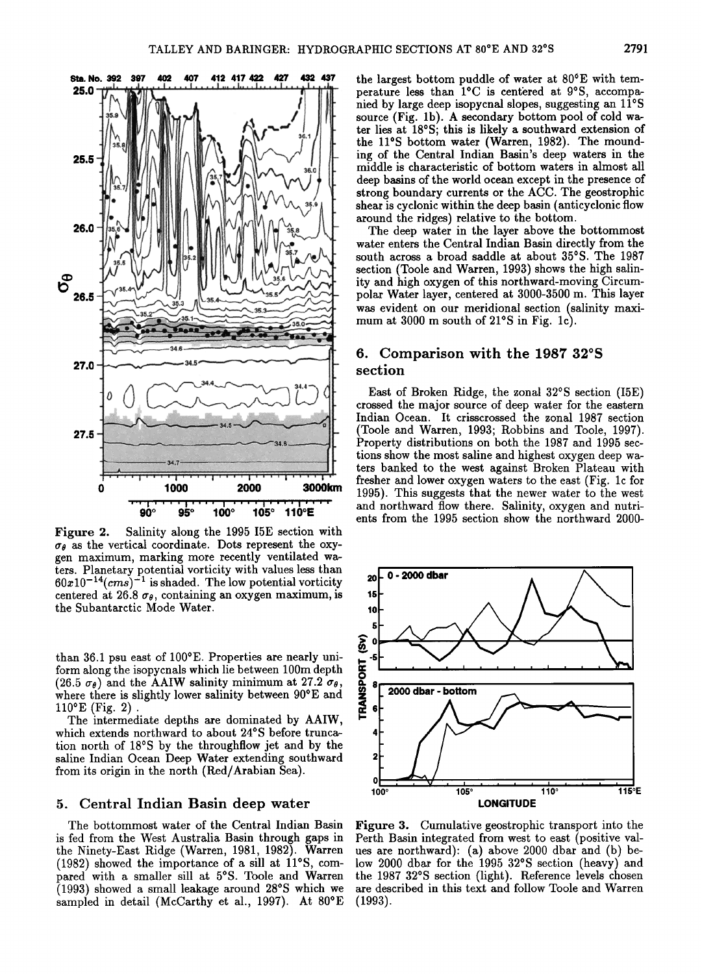

Figure 2. Salinity along the 1995 I5E section with  $\sigma_{\theta}$  as the vertical coordinate. Dots represent the oxy**gen maximum, marking more recently ventilated waters. Planetary potential vorticity with values less than**   $60x10^{-14}(cms)^{-1}$  is shaded. The low potential vorticity centered at 26.8  $\sigma_{\theta}$ , containing an oxygen maximum, is **the Subantarctic Mode Water.** 

than 36.1 psu east of 100<sup>o</sup>E. Properties are nearly uni**form along the isopycnals which lie between 100m depth**   $(26.5 \sigma_{\theta})$  and the AAIW salinity minimum at 27.2  $\sigma_{\theta}$ , where there is slightly lower salinity between  $90^{\circ}E$  and **110øE (Fig. 2).** 

**The intermediate depths are dominated by AAIW, which extends northward to about 24øS before truncation north of 18øS by the throughflow jet and by the saline Indian Ocean Deep Water extending southward from its origin in the north (Red/Arabian Sea).** 

#### **5. Central Indian Basin deep water**

**The bottommost water of the Central Indian Basin is fed from the West Australia Basin through gaps in the Ninety-East Ridge (Warren, 1981, 1982). Warren (1982) showed the importance of a sill at 11øS, com**pared with a smaller sill at 5°S. Toole and Warren **(1993) showed a small leakage around 28øS which we sampled in detail (McCarthy et al., 1997). At 80øE** 

the largest bottom puddle of water at 80<sup>°</sup>E with temperature less than <sup>1°</sup>C is centered at 9°S, accompa**nied by large deep isopycnal slopes, suggesting an 11øS source (Fig. lb). A secondary bottom pool of cold wa**ter lies at 18°S; this is likely a southward extension of the 11°S bottom water (Warren, 1982). The mound**ing of the Central Indian Basin's deep waters in the middle is characteristic of bottom waters in almost all deep basins of the world ocean except in the presence of strong boundary currents or the ACC. The geostrophic shear is cyclonic within the deep basin (anticyclonic flow around the ridges) relative to the bottom.** 

**The deep water in the layer above the bottommost water enters the Central Indian Basin directly from the south across a broad saddle at about 35øS. The 1987 section (Toole and Warren, 1993) shows the high salinity and high oxygen of this northward-moving Circumpolar Water layer, centered at 3000-3500 m. This layer was evident on our meridional section (salinity maximum at 3000 m south of 21øS in Fig. lc).** 

## **6. Comparison with the 1987 32øS section**

**East of Broken Ridge, the zonal 32øS section (I5E) crossed the major source of deep water for the eastern Indian Ocean. It crisscrossed the zonal 1987 section (Toole and Warren, 1993; Robbins and Toole, 1997). Property distributions on both the 1987 and 1995 sections show the most saline and highest oxygen deep waters banked to the west against Broken Plateau with freshet and lower oxygen waters to the east (Fig. lc for 1995). This suggests that the newer water to the west and northward flow there. Salinity, oxygen and nutrients from the 1995 section show the northward 2000-** 



**Figure 3. Cumulative geostrophic transport into the Perth Basin integrated from west to east (positive values are northward): (a) above 2000 dbar and (b) below 2000 dbar for the 1995 32øS section (heavy) and the 1987 32øS section (light). Reference levels chosen are described in this text and follow Toole and Warren (1993).**